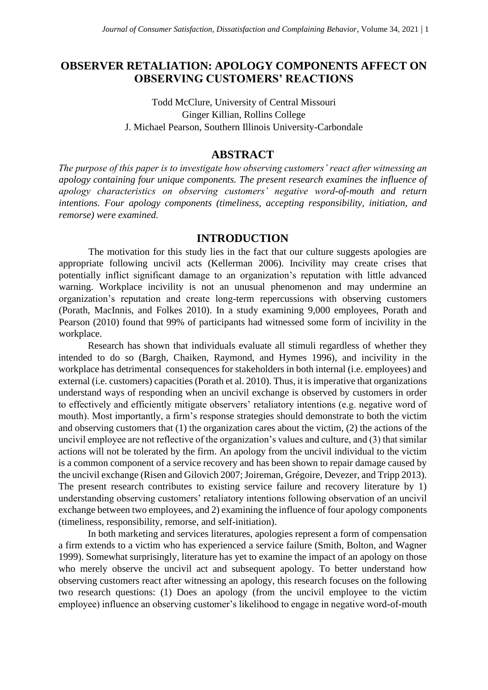# **OBSERVER RETALIATION: APOLOGY COMPONENTS AFFECT ON OBSERVING CUSTOMERS' REACTIONS**

Todd McClure, University of Central Missouri Ginger Killian, Rollins College J. Michael Pearson, Southern Illinois University-Carbondale

## **ABSTRACT**

*The purpose of this paper is to investigate how observing customers' react after witnessing an apology containing four unique components. The present research examines the influence of apology characteristics on observing customers' negative word-of-mouth and return intentions. Four apology components (timeliness, accepting responsibility, initiation, and remorse) were examined.* 

## **INTRODUCTION**

The motivation for this study lies in the fact that our culture suggests apologies are appropriate following uncivil acts (Kellerman 2006). Incivility may create crises that potentially inflict significant damage to an organization's reputation with little advanced warning. Workplace incivility is not an unusual phenomenon and may undermine an organization's reputation and create long-term repercussions with observing customers (Porath, MacInnis, and Folkes 2010). In a study examining 9,000 employees, Porath and Pearson (2010) found that 99% of participants had witnessed some form of incivility in the workplace.

Research has shown that individuals evaluate all stimuli regardless of whether they intended to do so (Bargh, Chaiken, Raymond, and Hymes 1996), and incivility in the workplace has detrimental consequences for stakeholders in both internal (i.e. employees) and external (i.e. customers) capacities (Porath et al. 2010). Thus, it is imperative that organizations understand ways of responding when an uncivil exchange is observed by customers in order to effectively and efficiently mitigate observers' retaliatory intentions (e.g. negative word of mouth). Most importantly, a firm's response strategies should demonstrate to both the victim and observing customers that (1) the organization cares about the victim, (2) the actions of the uncivil employee are not reflective of the organization's values and culture, and (3) that similar actions will not be tolerated by the firm. An apology from the uncivil individual to the victim is a common component of a service recovery and has been shown to repair damage caused by the uncivil exchange (Risen and Gilovich 2007; Joireman, Grégoire, Devezer, and Tripp 2013). The present research contributes to existing service failure and recovery literature by 1) understanding observing customers' retaliatory intentions following observation of an uncivil exchange between two employees, and 2) examining the influence of four apology components (timeliness, responsibility, remorse, and self-initiation).

In both marketing and services literatures, apologies represent a form of compensation a firm extends to a victim who has experienced a service failure (Smith, Bolton, and Wagner 1999). Somewhat surprisingly, literature has yet to examine the impact of an apology on those who merely observe the uncivil act and subsequent apology. To better understand how observing customers react after witnessing an apology, this research focuses on the following two research questions: (1) Does an apology (from the uncivil employee to the victim employee) influence an observing customer's likelihood to engage in negative word-of-mouth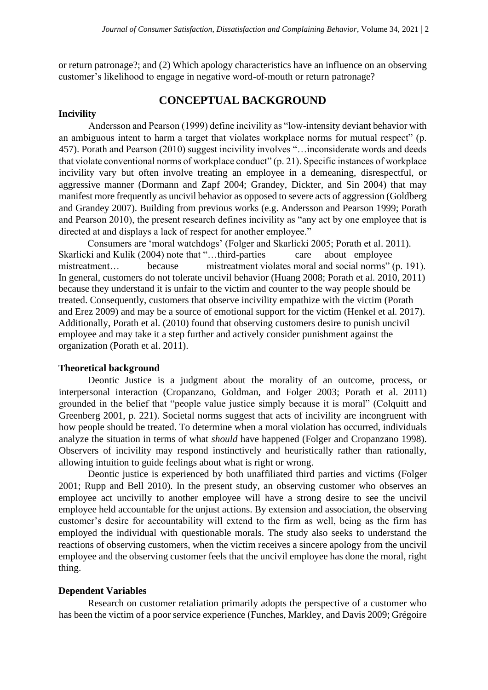or return patronage?; and (2) Which apology characteristics have an influence on an observing customer's likelihood to engage in negative word-of-mouth or return patronage?

## **CONCEPTUAL BACKGROUND**

## **Incivility**

Andersson and Pearson (1999) define incivility as "low-intensity deviant behavior with an ambiguous intent to harm a target that violates workplace norms for mutual respect" (p. 457). Porath and Pearson (2010) suggest incivility involves "…inconsiderate words and deeds that violate conventional norms of workplace conduct" (p. 21). Specific instances of workplace incivility vary but often involve treating an employee in a demeaning, disrespectful, or aggressive manner (Dormann and Zapf 2004; Grandey, Dickter, and Sin 2004) that may manifest more frequently as uncivil behavior as opposed to severe acts of aggression (Goldberg and Grandey 2007). Building from previous works (e.g. Andersson and Pearson 1999; Porath and Pearson 2010), the present research defines incivility as "any act by one employee that is directed at and displays a lack of respect for another employee."

Consumers are 'moral watchdogs' (Folger and Skarlicki 2005; Porath et al. 2011). Skarlicki and Kulik (2004) note that "...third-parties care about employee mistreatment... because mistreatment violates moral and social norms" (p. 191). In general, customers do not tolerate uncivil behavior (Huang 2008; Porath et al. 2010, 2011) because they understand it is unfair to the victim and counter to the way people should be treated. Consequently, customers that observe incivility empathize with the victim (Porath and Erez 2009) and may be a source of emotional support for the victim (Henkel et al. 2017). Additionally, Porath et al. (2010) found that observing customers desire to punish uncivil employee and may take it a step further and actively consider punishment against the organization (Porath et al. 2011).

### **Theoretical background**

Deontic Justice is a judgment about the morality of an outcome, process, or interpersonal interaction (Cropanzano, Goldman, and Folger 2003; Porath et al. 2011) grounded in the belief that "people value justice simply because it is moral" (Colquitt and Greenberg 2001, p. 221). Societal norms suggest that acts of incivility are incongruent with how people should be treated. To determine when a moral violation has occurred, individuals analyze the situation in terms of what *should* have happened (Folger and Cropanzano 1998). Observers of incivility may respond instinctively and heuristically rather than rationally, allowing intuition to guide feelings about what is right or wrong.

Deontic justice is experienced by both unaffiliated third parties and victims (Folger 2001; Rupp and Bell 2010). In the present study, an observing customer who observes an employee act uncivilly to another employee will have a strong desire to see the uncivil employee held accountable for the unjust actions. By extension and association, the observing customer's desire for accountability will extend to the firm as well, being as the firm has employed the individual with questionable morals. The study also seeks to understand the reactions of observing customers, when the victim receives a sincere apology from the uncivil employee and the observing customer feels that the uncivil employee has done the moral, right thing.

#### **Dependent Variables**

Research on customer retaliation primarily adopts the perspective of a customer who has been the victim of a poor service experience (Funches, Markley, and Davis 2009; Grégoire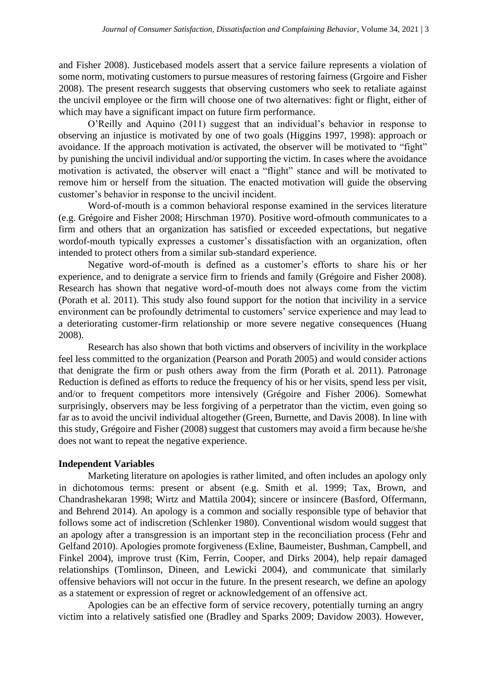and Fisher 2008). Justicebased models assert that a service failure represents a violation of some norm, motivating customers to pursue measures of restoring fairness (Grgoire and Fisher 2008). The present research suggests that observing customers who seek to retaliate against the uncivil employee or the firm will choose one of two alternatives: fight or flight, either of which may have a significant impact on future firm performance.

O'Reilly and Aquino (2011) suggest that an individual's behavior in response to observing an injustice is motivated by one of two goals (Higgins 1997, 1998): approach or avoidance. If the approach motivation is activated, the observer will be motivated to "fight" by punishing the uncivil individual and/or supporting the victim. In cases where the avoidance motivation is activated, the observer will enact a "flight" stance and will be motivated to remove him or herself from the situation. The enacted motivation will guide the observing customer's behavior in response to the uncivil incident.

Word-of-mouth is a common behavioral response examined in the services literature (e.g. Grégoire and Fisher 2008; Hirschman 1970). Positive word-ofmouth communicates to a firm and others that an organization has satisfied or exceeded expectations, but negative wordof-mouth typically expresses a customer's dissatisfaction with an organization, often intended to protect others from a similar sub-standard experience.

Negative word-of-mouth is defined as a customer's efforts to share his or her experience, and to denigrate a service firm to friends and family (Grégoire and Fisher 2008). Research has shown that negative word-of-mouth does not always come from the victim (Porath et al. 2011). This study also found support for the notion that incivility in a service environment can be profoundly detrimental to customers' service experience and may lead to a deteriorating customer-firm relationship or more severe negative consequences (Huang 2008).

Research has also shown that both victims and observers of incivility in the workplace feel less committed to the organization (Pearson and Porath 2005) and would consider actions that denigrate the firm or push others away from the firm (Porath et al. 2011). Patronage Reduction is defined as efforts to reduce the frequency of his or her visits, spend less per visit, and/or to frequent competitors more intensively (Grégoire and Fisher 2006). Somewhat surprisingly, observers may be less forgiving of a perpetrator than the victim, even going so far as to avoid the uncivil individual altogether (Green, Burnette, and Davis 2008). In line with this study, Grégoire and Fisher (2008) suggest that customers may avoid a firm because he/she does not want to repeat the negative experience.

## **Independent Variables**

Marketing literature on apologies is rather limited, and often includes an apology only in dichotomous terms: present or absent (e.g. Smith et al. 1999; Tax, Brown, and Chandrashekaran 1998; Wirtz and Mattila 2004); sincere or insincere (Basford, Offermann, and Behrend 2014). An apology is a common and socially responsible type of behavior that follows some act of indiscretion (Schlenker 1980). Conventional wisdom would suggest that an apology after a transgression is an important step in the reconciliation process (Fehr and Gelfand 2010). Apologies promote forgiveness (Exline, Baumeister, Bushman, Campbell, and Finkel 2004), improve trust (Kim, Ferrin, Cooper, and Dirks 2004), help repair damaged relationships (Tomlinson, Dineen, and Lewicki 2004), and communicate that similarly offensive behaviors will not occur in the future. In the present research, we define an apology as a statement or expression of regret or acknowledgement of an offensive act.

Apologies can be an effective form of service recovery, potentially turning an angry victim into a relatively satisfied one (Bradley and Sparks 2009; Davidow 2003). However,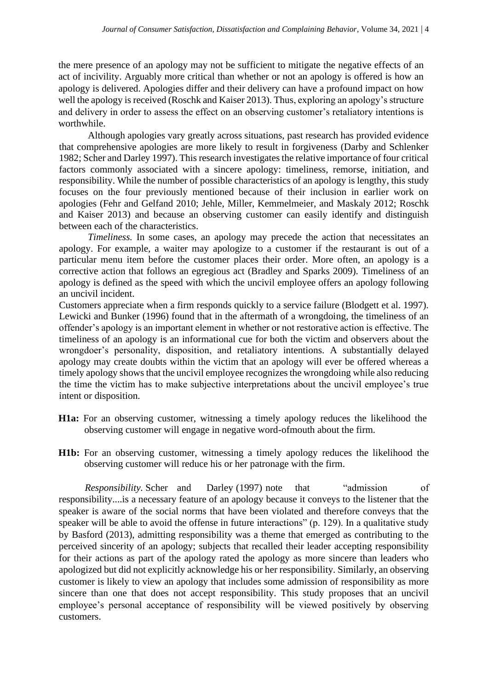the mere presence of an apology may not be sufficient to mitigate the negative effects of an act of incivility. Arguably more critical than whether or not an apology is offered is how an apology is delivered. Apologies differ and their delivery can have a profound impact on how well the apology is received (Roschk and Kaiser 2013). Thus, exploring an apology's structure and delivery in order to assess the effect on an observing customer's retaliatory intentions is worthwhile.

Although apologies vary greatly across situations, past research has provided evidence that comprehensive apologies are more likely to result in forgiveness (Darby and Schlenker 1982; Scher and Darley 1997). This research investigates the relative importance of four critical factors commonly associated with a sincere apology: timeliness, remorse, initiation, and responsibility. While the number of possible characteristics of an apology is lengthy, this study focuses on the four previously mentioned because of their inclusion in earlier work on apologies (Fehr and Gelfand 2010; Jehle, Miller, Kemmelmeier, and Maskaly 2012; Roschk and Kaiser 2013) and because an observing customer can easily identify and distinguish between each of the characteristics.

*Timeliness.* In some cases, an apology may precede the action that necessitates an apology. For example, a waiter may apologize to a customer if the restaurant is out of a particular menu item before the customer places their order. More often, an apology is a corrective action that follows an egregious act (Bradley and Sparks 2009). Timeliness of an apology is defined as the speed with which the uncivil employee offers an apology following an uncivil incident.

Customers appreciate when a firm responds quickly to a service failure (Blodgett et al. 1997). Lewicki and Bunker (1996) found that in the aftermath of a wrongdoing, the timeliness of an offender's apology is an important element in whether or not restorative action is effective. The timeliness of an apology is an informational cue for both the victim and observers about the wrongdoer's personality, disposition, and retaliatory intentions. A substantially delayed apology may create doubts within the victim that an apology will ever be offered whereas a timely apology shows that the uncivil employee recognizes the wrongdoing while also reducing the time the victim has to make subjective interpretations about the uncivil employee's true intent or disposition.

- **H1a:** For an observing customer, witnessing a timely apology reduces the likelihood the observing customer will engage in negative word-ofmouth about the firm.
- **H1b:** For an observing customer, witnessing a timely apology reduces the likelihood the observing customer will reduce his or her patronage with the firm.

*Responsibility.* Scher and Darley (1997) note that "admission of responsibility....is a necessary feature of an apology because it conveys to the listener that the speaker is aware of the social norms that have been violated and therefore conveys that the speaker will be able to avoid the offense in future interactions" (p. 129). In a qualitative study by Basford (2013), admitting responsibility was a theme that emerged as contributing to the perceived sincerity of an apology; subjects that recalled their leader accepting responsibility for their actions as part of the apology rated the apology as more sincere than leaders who apologized but did not explicitly acknowledge his or her responsibility. Similarly, an observing customer is likely to view an apology that includes some admission of responsibility as more sincere than one that does not accept responsibility. This study proposes that an uncivil employee's personal acceptance of responsibility will be viewed positively by observing customers.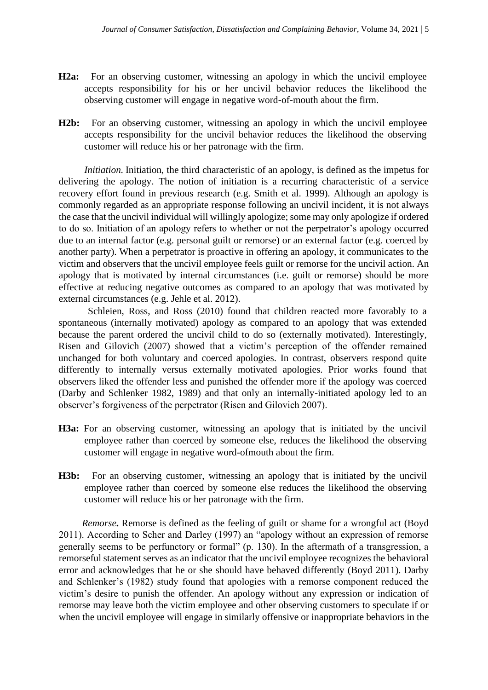- **H2a:** For an observing customer, witnessing an apology in which the uncivil employee accepts responsibility for his or her uncivil behavior reduces the likelihood the observing customer will engage in negative word-of-mouth about the firm.
- **H2b:** For an observing customer, witnessing an apology in which the uncivil employee accepts responsibility for the uncivil behavior reduces the likelihood the observing customer will reduce his or her patronage with the firm.

*Initiation.* Initiation, the third characteristic of an apology, is defined as the impetus for delivering the apology. The notion of initiation is a recurring characteristic of a service recovery effort found in previous research (e.g. Smith et al. 1999). Although an apology is commonly regarded as an appropriate response following an uncivil incident, it is not always the case that the uncivil individual will willingly apologize; some may only apologize if ordered to do so. Initiation of an apology refers to whether or not the perpetrator's apology occurred due to an internal factor (e.g. personal guilt or remorse) or an external factor (e.g. coerced by another party). When a perpetrator is proactive in offering an apology, it communicates to the victim and observers that the uncivil employee feels guilt or remorse for the uncivil action. An apology that is motivated by internal circumstances (i.e. guilt or remorse) should be more effective at reducing negative outcomes as compared to an apology that was motivated by external circumstances (e.g. Jehle et al. 2012).

Schleien, Ross, and Ross (2010) found that children reacted more favorably to a spontaneous (internally motivated) apology as compared to an apology that was extended because the parent ordered the uncivil child to do so (externally motivated). Interestingly, Risen and Gilovich (2007) showed that a victim's perception of the offender remained unchanged for both voluntary and coerced apologies. In contrast, observers respond quite differently to internally versus externally motivated apologies. Prior works found that observers liked the offender less and punished the offender more if the apology was coerced (Darby and Schlenker 1982, 1989) and that only an internally-initiated apology led to an observer's forgiveness of the perpetrator (Risen and Gilovich 2007).

- H3a: For an observing customer, witnessing an apology that is initiated by the uncivil employee rather than coerced by someone else, reduces the likelihood the observing customer will engage in negative word-ofmouth about the firm.
- **H3b:** For an observing customer, witnessing an apology that is initiated by the uncivil employee rather than coerced by someone else reduces the likelihood the observing customer will reduce his or her patronage with the firm.

*Remorse***.** Remorse is defined as the feeling of guilt or shame for a wrongful act (Boyd 2011). According to Scher and Darley (1997) an "apology without an expression of remorse generally seems to be perfunctory or formal" (p. 130). In the aftermath of a transgression, a remorseful statement serves as an indicator that the uncivil employee recognizes the behavioral error and acknowledges that he or she should have behaved differently (Boyd 2011). Darby and Schlenker's (1982) study found that apologies with a remorse component reduced the victim's desire to punish the offender. An apology without any expression or indication of remorse may leave both the victim employee and other observing customers to speculate if or when the uncivil employee will engage in similarly offensive or inappropriate behaviors in the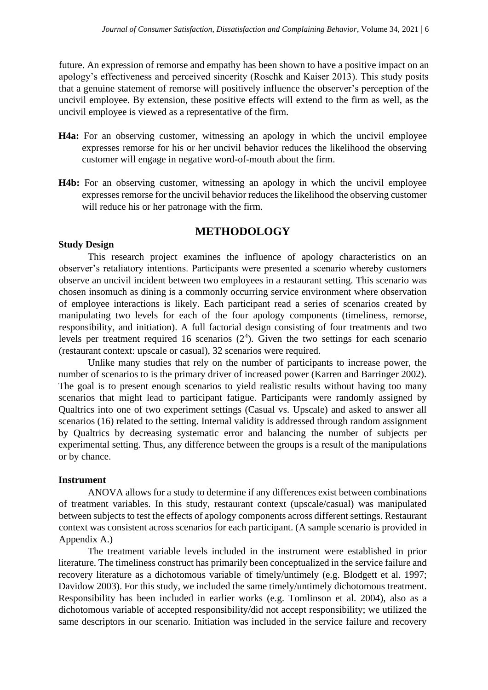future. An expression of remorse and empathy has been shown to have a positive impact on an apology's effectiveness and perceived sincerity (Roschk and Kaiser 2013). This study posits that a genuine statement of remorse will positively influence the observer's perception of the uncivil employee. By extension, these positive effects will extend to the firm as well, as the uncivil employee is viewed as a representative of the firm.

- H4a: For an observing customer, witnessing an apology in which the uncivil employee expresses remorse for his or her uncivil behavior reduces the likelihood the observing customer will engage in negative word-of-mouth about the firm.
- **H4b:** For an observing customer, witnessing an apology in which the uncivil employee expresses remorse for the uncivil behavior reduces the likelihood the observing customer will reduce his or her patronage with the firm.

## **METHODOLOGY**

### **Study Design**

This research project examines the influence of apology characteristics on an observer's retaliatory intentions. Participants were presented a scenario whereby customers observe an uncivil incident between two employees in a restaurant setting. This scenario was chosen insomuch as dining is a commonly occurring service environment where observation of employee interactions is likely. Each participant read a series of scenarios created by manipulating two levels for each of the four apology components (timeliness, remorse, responsibility, and initiation). A full factorial design consisting of four treatments and two levels per treatment required 16 scenarios  $(2<sup>4</sup>)$ . Given the two settings for each scenario (restaurant context: upscale or casual), 32 scenarios were required.

Unlike many studies that rely on the number of participants to increase power, the number of scenarios to is the primary driver of increased power (Karren and Barringer 2002). The goal is to present enough scenarios to yield realistic results without having too many scenarios that might lead to participant fatigue. Participants were randomly assigned by Qualtrics into one of two experiment settings (Casual vs. Upscale) and asked to answer all scenarios (16) related to the setting. Internal validity is addressed through random assignment by Qualtrics by decreasing systematic error and balancing the number of subjects per experimental setting. Thus, any difference between the groups is a result of the manipulations or by chance.

## **Instrument**

ANOVA allows for a study to determine if any differences exist between combinations of treatment variables. In this study, restaurant context (upscale/casual) was manipulated between subjects to test the effects of apology components across different settings. Restaurant context was consistent across scenarios for each participant. (A sample scenario is provided in Appendix A.)

The treatment variable levels included in the instrument were established in prior literature. The timeliness construct has primarily been conceptualized in the service failure and recovery literature as a dichotomous variable of timely/untimely (e.g. Blodgett et al. 1997; Davidow 2003). For this study, we included the same timely/untimely dichotomous treatment. Responsibility has been included in earlier works (e.g. Tomlinson et al. 2004), also as a dichotomous variable of accepted responsibility/did not accept responsibility; we utilized the same descriptors in our scenario. Initiation was included in the service failure and recovery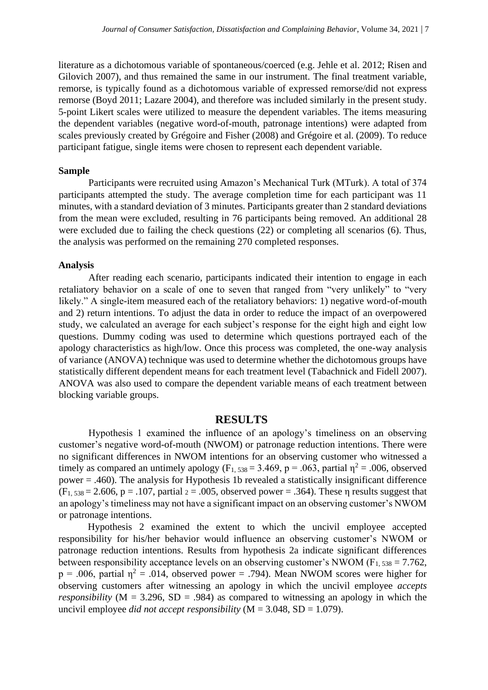literature as a dichotomous variable of spontaneous/coerced (e.g. Jehle et al. 2012; Risen and Gilovich 2007), and thus remained the same in our instrument. The final treatment variable, remorse, is typically found as a dichotomous variable of expressed remorse/did not express remorse (Boyd 2011; Lazare 2004), and therefore was included similarly in the present study. 5-point Likert scales were utilized to measure the dependent variables. The items measuring the dependent variables (negative word-of-mouth, patronage intentions) were adapted from scales previously created by Grégoire and Fisher (2008) and Grégoire et al. (2009). To reduce participant fatigue, single items were chosen to represent each dependent variable.

#### **Sample**

Participants were recruited using Amazon's Mechanical Turk (MTurk). A total of 374 participants attempted the study. The average completion time for each participant was 11 minutes, with a standard deviation of 3 minutes. Participants greater than 2 standard deviations from the mean were excluded, resulting in 76 participants being removed. An additional 28 were excluded due to failing the check questions (22) or completing all scenarios (6). Thus, the analysis was performed on the remaining 270 completed responses.

#### **Analysis**

After reading each scenario, participants indicated their intention to engage in each retaliatory behavior on a scale of one to seven that ranged from "very unlikely" to "very likely." A single-item measured each of the retaliatory behaviors: 1) negative word-of-mouth and 2) return intentions. To adjust the data in order to reduce the impact of an overpowered study, we calculated an average for each subject's response for the eight high and eight low questions. Dummy coding was used to determine which questions portrayed each of the apology characteristics as high/low. Once this process was completed, the one-way analysis of variance (ANOVA) technique was used to determine whether the dichotomous groups have statistically different dependent means for each treatment level (Tabachnick and Fidell 2007). ANOVA was also used to compare the dependent variable means of each treatment between blocking variable groups.

## **RESULTS**

Hypothesis 1 examined the influence of an apology's timeliness on an observing customer's negative word-of-mouth (NWOM) or patronage reduction intentions. There were no significant differences in NWOM intentions for an observing customer who witnessed a timely as compared an untimely apology (F<sub>1, 538</sub> = 3.469, p = .063, partial  $\eta^2$  = .006, observed power = .460). The analysis for Hypothesis 1b revealed a statistically insignificant difference  $(F<sub>1, 538</sub> = 2.606, p = .107$ , partial  $2 = .005$ , observed power = .364). These  $\eta$  results suggest that an apology's timeliness may not have a significant impact on an observing customer's NWOM or patronage intentions.

Hypothesis 2 examined the extent to which the uncivil employee accepted responsibility for his/her behavior would influence an observing customer's NWOM or patronage reduction intentions. Results from hypothesis 2a indicate significant differences between responsibility acceptance levels on an observing customer's NWOM ( $F_{1, 538} = 7.762$ ,  $p = .006$ , partial  $\eta^2 = .014$ , observed power = .794). Mean NWOM scores were higher for observing customers after witnessing an apology in which the uncivil employee *accepts responsibility* ( $M = 3.296$ ,  $SD = .984$ ) as compared to witnessing an apology in which the uncivil employee *did not accept responsibility* (M = 3.048, SD = 1.079).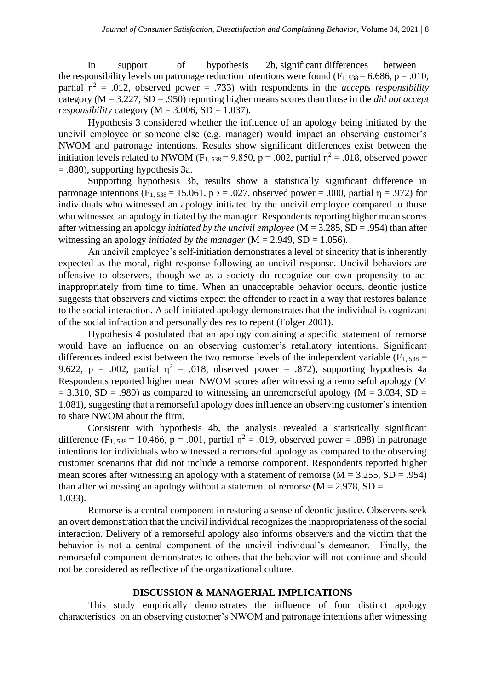In support of hypothesis 2b, significant differences between the responsibility levels on patronage reduction intentions were found  $(F_1, 538 = 6.686, p = .010,$ partial  $n^2$  = .012, observed power = .733) with respondents in the *accepts responsibility* category (M = 3.227, SD = .950) reporting higher means scores than those in the *did not accept responsibility* category ( $M = 3.006$ ,  $SD = 1.037$ ).

Hypothesis 3 considered whether the influence of an apology being initiated by the uncivil employee or someone else (e.g. manager) would impact an observing customer's NWOM and patronage intentions. Results show significant differences exist between the initiation levels related to NWOM (F<sub>1, 538</sub> = 9.850, p = .002, partial  $\eta^2$  = .018, observed power = .880), supporting hypothesis 3a.

Supporting hypothesis 3b, results show a statistically significant difference in patronage intentions (F<sub>1, 538</sub> = 15.061, p  $_2$  = .027, observed power = .000, partial  $\eta$  = .972) for individuals who witnessed an apology initiated by the uncivil employee compared to those who witnessed an apology initiated by the manager. Respondents reporting higher mean scores after witnessing an apology *initiated by the uncivil employee* (M = 3.285, SD = .954) than after witnessing an apology *initiated by the manager*  $(M = 2.949, SD = 1.056)$ .

An uncivil employee's self-initiation demonstrates a level of sincerity that is inherently expected as the moral, right response following an uncivil response. Uncivil behaviors are offensive to observers, though we as a society do recognize our own propensity to act inappropriately from time to time. When an unacceptable behavior occurs, deontic justice suggests that observers and victims expect the offender to react in a way that restores balance to the social interaction. A self-initiated apology demonstrates that the individual is cognizant of the social infraction and personally desires to repent (Folger 2001).

Hypothesis 4 postulated that an apology containing a specific statement of remorse would have an influence on an observing customer's retaliatory intentions. Significant differences indeed exist between the two remorse levels of the independent variable ( $F_{1, 538} =$ 9.622, p = .002, partial  $\eta^2$  = .018, observed power = .872), supporting hypothesis 4a Respondents reported higher mean NWOM scores after witnessing a remorseful apology (M  $= 3.310$ , SD = .980) as compared to witnessing an unremorseful apology (M = 3.034, SD = 1.081), suggesting that a remorseful apology does influence an observing customer's intention to share NWOM about the firm.

Consistent with hypothesis 4b, the analysis revealed a statistically significant difference (F<sub>1, 538</sub> = 10.466, p = .001, partial  $\eta^2$  = .019, observed power = .898) in patronage intentions for individuals who witnessed a remorseful apology as compared to the observing customer scenarios that did not include a remorse component. Respondents reported higher mean scores after witnessing an apology with a statement of remorse  $(M = 3.255, SD = .954)$ than after witnessing an apology without a statement of remorse ( $M = 2.978$ , SD = 1.033).

Remorse is a central component in restoring a sense of deontic justice. Observers seek an overt demonstration that the uncivil individual recognizes the inappropriateness of the social interaction. Delivery of a remorseful apology also informs observers and the victim that the behavior is not a central component of the uncivil individual's demeanor. Finally, the remorseful component demonstrates to others that the behavior will not continue and should not be considered as reflective of the organizational culture.

### **DISCUSSION & MANAGERIAL IMPLICATIONS**

This study empirically demonstrates the influence of four distinct apology characteristics on an observing customer's NWOM and patronage intentions after witnessing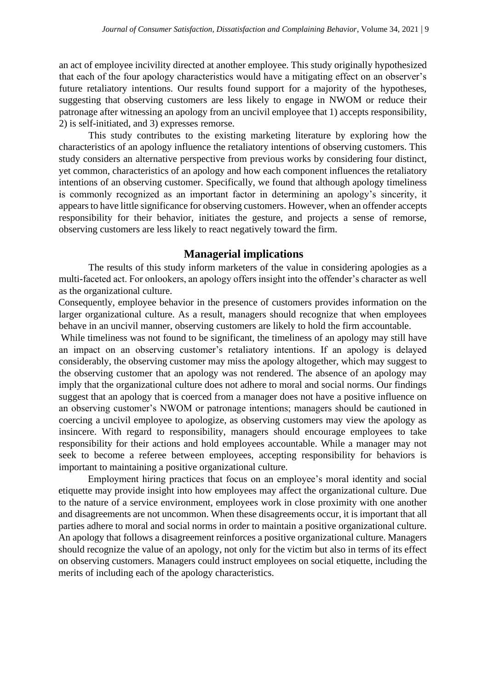an act of employee incivility directed at another employee. This study originally hypothesized that each of the four apology characteristics would have a mitigating effect on an observer's future retaliatory intentions. Our results found support for a majority of the hypotheses, suggesting that observing customers are less likely to engage in NWOM or reduce their patronage after witnessing an apology from an uncivil employee that 1) accepts responsibility, 2) is self-initiated, and 3) expresses remorse.

This study contributes to the existing marketing literature by exploring how the characteristics of an apology influence the retaliatory intentions of observing customers. This study considers an alternative perspective from previous works by considering four distinct, yet common, characteristics of an apology and how each component influences the retaliatory intentions of an observing customer. Specifically, we found that although apology timeliness is commonly recognized as an important factor in determining an apology's sincerity, it appears to have little significance for observing customers. However, when an offender accepts responsibility for their behavior, initiates the gesture, and projects a sense of remorse, observing customers are less likely to react negatively toward the firm.

## **Managerial implications**

The results of this study inform marketers of the value in considering apologies as a multi-faceted act. For onlookers, an apology offers insight into the offender's character as well as the organizational culture.

Consequently, employee behavior in the presence of customers provides information on the larger organizational culture. As a result, managers should recognize that when employees behave in an uncivil manner, observing customers are likely to hold the firm accountable.

While timeliness was not found to be significant, the timeliness of an apology may still have an impact on an observing customer's retaliatory intentions. If an apology is delayed considerably, the observing customer may miss the apology altogether, which may suggest to the observing customer that an apology was not rendered. The absence of an apology may imply that the organizational culture does not adhere to moral and social norms. Our findings suggest that an apology that is coerced from a manager does not have a positive influence on an observing customer's NWOM or patronage intentions; managers should be cautioned in coercing a uncivil employee to apologize, as observing customers may view the apology as insincere. With regard to responsibility, managers should encourage employees to take responsibility for their actions and hold employees accountable. While a manager may not seek to become a referee between employees, accepting responsibility for behaviors is important to maintaining a positive organizational culture.

Employment hiring practices that focus on an employee's moral identity and social etiquette may provide insight into how employees may affect the organizational culture. Due to the nature of a service environment, employees work in close proximity with one another and disagreements are not uncommon. When these disagreements occur, it is important that all parties adhere to moral and social norms in order to maintain a positive organizational culture. An apology that follows a disagreement reinforces a positive organizational culture. Managers should recognize the value of an apology, not only for the victim but also in terms of its effect on observing customers. Managers could instruct employees on social etiquette, including the merits of including each of the apology characteristics.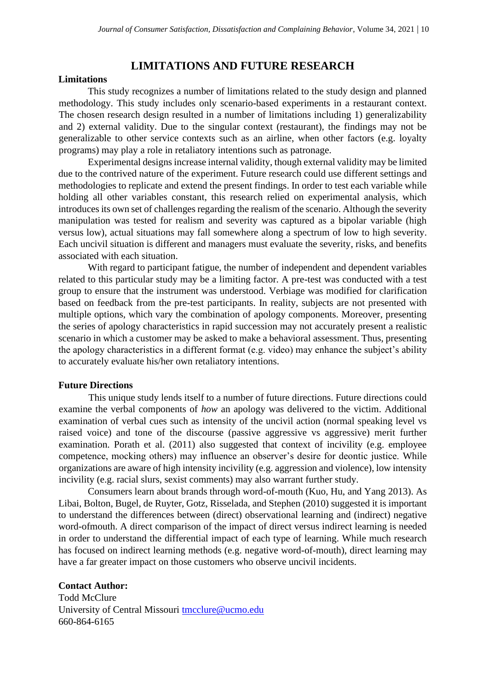## **LIMITATIONS AND FUTURE RESEARCH**

## **Limitations**

This study recognizes a number of limitations related to the study design and planned methodology. This study includes only scenario-based experiments in a restaurant context. The chosen research design resulted in a number of limitations including 1) generalizability and 2) external validity. Due to the singular context (restaurant), the findings may not be generalizable to other service contexts such as an airline, when other factors (e.g. loyalty programs) may play a role in retaliatory intentions such as patronage.

Experimental designs increase internal validity, though external validity may be limited due to the contrived nature of the experiment. Future research could use different settings and methodologies to replicate and extend the present findings. In order to test each variable while holding all other variables constant, this research relied on experimental analysis, which introduces its own set of challenges regarding the realism of the scenario. Although the severity manipulation was tested for realism and severity was captured as a bipolar variable (high versus low), actual situations may fall somewhere along a spectrum of low to high severity. Each uncivil situation is different and managers must evaluate the severity, risks, and benefits associated with each situation.

With regard to participant fatigue, the number of independent and dependent variables related to this particular study may be a limiting factor. A pre-test was conducted with a test group to ensure that the instrument was understood. Verbiage was modified for clarification based on feedback from the pre-test participants. In reality, subjects are not presented with multiple options, which vary the combination of apology components. Moreover, presenting the series of apology characteristics in rapid succession may not accurately present a realistic scenario in which a customer may be asked to make a behavioral assessment. Thus, presenting the apology characteristics in a different format (e.g. video) may enhance the subject's ability to accurately evaluate his/her own retaliatory intentions.

#### **Future Directions**

This unique study lends itself to a number of future directions. Future directions could examine the verbal components of *how* an apology was delivered to the victim. Additional examination of verbal cues such as intensity of the uncivil action (normal speaking level vs raised voice) and tone of the discourse (passive aggressive vs aggressive) merit further examination. Porath et al. (2011) also suggested that context of incivility (e.g. employee competence, mocking others) may influence an observer's desire for deontic justice. While organizations are aware of high intensity incivility (e.g. aggression and violence), low intensity incivility (e.g. racial slurs, sexist comments) may also warrant further study.

Consumers learn about brands through word-of-mouth (Kuo, Hu, and Yang 2013). As Libai, Bolton, Bugel, de Ruyter, Gotz, Risselada, and Stephen (2010) suggested it is important to understand the differences between (direct) observational learning and (indirect) negative word-ofmouth. A direct comparison of the impact of direct versus indirect learning is needed in order to understand the differential impact of each type of learning. While much research has focused on indirect learning methods (e.g. negative word-of-mouth), direct learning may have a far greater impact on those customers who observe uncivil incidents.

#### **Contact Author:**

Todd McClure University of Central Missouri **tmcclure@ucmo.edu** 660-864-6165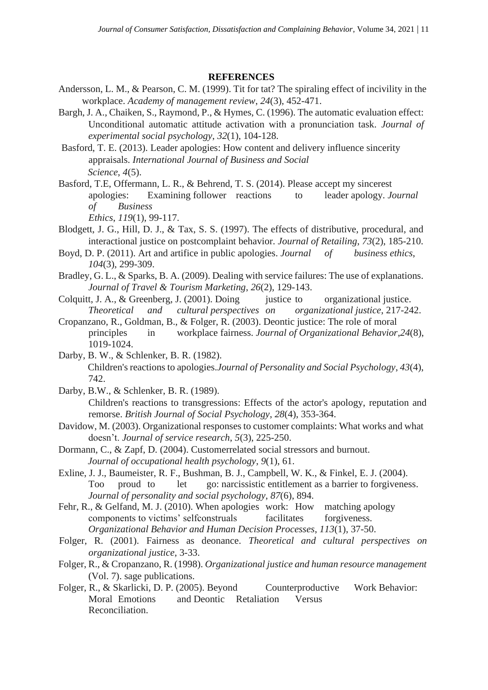### **REFERENCES**

- Andersson, L. M., & Pearson, C. M. (1999). Tit for tat? The spiraling effect of incivility in the workplace. *Academy of management review*, *24*(3), 452-471.
- Bargh, J. A., Chaiken, S., Raymond, P., & Hymes, C. (1996). The automatic evaluation effect: Unconditional automatic attitude activation with a pronunciation task. *Journal of experimental social psychology*, *32*(1), 104-128.
- Basford, T. E. (2013). Leader apologies: How content and delivery influence sincerity appraisals. *International Journal of Business and Social Science*, *4*(5).
- Basford, T.E, Offermann, L. R., & Behrend, T. S. (2014). Please accept my sincerest apologies: Examining follower reactions to leader apology. *Journal of Business*

*Ethics*, *119*(1), 99-117.

- Blodgett, J. G., Hill, D. J., & Tax, S. S. (1997). The effects of distributive, procedural, and interactional justice on postcomplaint behavior. *Journal of Retailing*, *73*(2), 185-210.
- Boyd, D. P. (2011). Art and artifice in public apologies. *Journal of business ethics*, *104*(3), 299-309.
- Bradley, G. L., & Sparks, B. A. (2009). Dealing with service failures: The use of explanations. *Journal of Travel & Tourism Marketing*, *26*(2), 129-143.
- Colquitt, J. A., & Greenberg, J. (2001). Doing justice to organizational justice. *Theoretical and cultural perspectives on organizational justice*, 217-242.
- Cropanzano, R., Goldman, B., & Folger, R. (2003). Deontic justice: The role of moral principles in workplace fairness. *Journal of Organizational Behavior*,*24*(8), 1019-1024.
- Darby, B. W., & Schlenker, B. R. (1982). Children's reactions to apologies.*Journal of Personality and Social Psychology*, *43*(4), 742.
- Darby, B.W., & Schlenker, B. R. (1989). Children's reactions to transgressions: Effects of the actor's apology, reputation and remorse. *British Journal of Social Psychology*, *28*(4), 353-364.
- Davidow, M. (2003). Organizational responses to customer complaints: What works and what doesn't. *Journal of service research*, *5*(3), 225-250.
- Dormann, C., & Zapf, D. (2004). Customerrelated social stressors and burnout. *Journal of occupational health psychology*, *9*(1), 61.
- Exline, J. J., Baumeister, R. F., Bushman, B. J., Campbell, W. K., & Finkel, E. J. (2004). Too proud to let go: narcissistic entitlement as a barrier to forgiveness. *Journal of personality and social psychology*, *87*(6), 894.
- Fehr, R., & Gelfand, M. J. (2010). When apologies work: How matching apology components to victims' selfconstruals facilitates forgiveness. *Organizational Behavior and Human Decision Processes*, *113*(1), 37-50.
- Folger, R. (2001). Fairness as deonance. *Theoretical and cultural perspectives on organizational justice*, 3-33.
- Folger, R., & Cropanzano, R. (1998). *Organizational justice and human resource management* (Vol. 7). sage publications.
- Folger, R., & Skarlicki, D. P. (2005). Beyond Counterproductive Work Behavior: Moral Emotions and Deontic Retaliation Versus Reconciliation.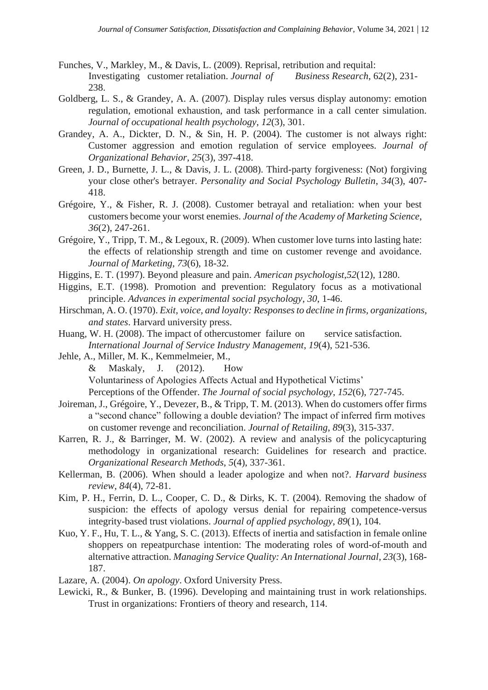- Funches, V., Markley, M., & Davis, L. (2009). Reprisal, retribution and requital: Investigating customer retaliation. *Journal of Business Research*, 62(2), 231- 238.
- Goldberg, L. S., & Grandey, A. A. (2007). Display rules versus display autonomy: emotion regulation, emotional exhaustion, and task performance in a call center simulation. *Journal of occupational health psychology*, *12*(3), 301.
- Grandey, A. A., Dickter, D. N., & Sin, H. P. (2004). The customer is not always right: Customer aggression and emotion regulation of service employees. *Journal of Organizational Behavior*, *25*(3), 397-418.
- Green, J. D., Burnette, J. L., & Davis, J. L. (2008). Third-party forgiveness: (Not) forgiving your close other's betrayer. *Personality and Social Psychology Bulletin*, *34*(3), 407- 418.
- Grégoire, Y., & Fisher, R. J. (2008). Customer betrayal and retaliation: when your best customers become your worst enemies. *Journal of the Academy of Marketing Science*, *36*(2), 247-261.
- Grégoire, Y., Tripp, T. M., & Legoux, R. (2009). When customer love turns into lasting hate: the effects of relationship strength and time on customer revenge and avoidance. *Journal of Marketing*, *73*(6), 18-32.
- Higgins, E. T. (1997). Beyond pleasure and pain. *American psychologist*,*52*(12), 1280.
- Higgins, E.T. (1998). Promotion and prevention: Regulatory focus as a motivational principle. *Advances in experimental social psychology*, *30*, 1-46.
- Hirschman, A. O. (1970). *Exit, voice, and loyalty: Responses to decline in firms, organizations, and states*. Harvard university press.
- Huang, W. H. (2008). The impact of othercustomer failure on service satisfaction. *International Journal of Service Industry Management*, *19*(4), 521-536.
- Jehle, A., Miller, M. K., Kemmelmeier, M.,
	- & Maskaly, J. (2012). How
	- Voluntariness of Apologies Affects Actual and Hypothetical Victims'

Perceptions of the Offender. *The Journal of social psychology*, *152*(6), 727-745.

- Joireman, J., Grégoire, Y., Devezer, B., & Tripp, T. M. (2013). When do customers offer firms a "second chance" following a double deviation? The impact of inferred firm motives on customer revenge and reconciliation. *Journal of Retailing*, *89*(3), 315-337.
- Karren, R. J., & Barringer, M. W. (2002). A review and analysis of the policycapturing methodology in organizational research: Guidelines for research and practice. *Organizational Research Methods*, *5*(4), 337-361.
- Kellerman, B. (2006). When should a leader apologize and when not?. *Harvard business review*, *84*(4), 72-81.
- Kim, P. H., Ferrin, D. L., Cooper, C. D., & Dirks, K. T. (2004). Removing the shadow of suspicion: the effects of apology versus denial for repairing competence-versus integrity-based trust violations. *Journal of applied psychology*, *89*(1), 104.
- Kuo, Y. F., Hu, T. L., & Yang, S. C. (2013). Effects of inertia and satisfaction in female online shoppers on repeatpurchase intention: The moderating roles of word-of-mouth and alternative attraction. *Managing Service Quality: An International Journal*, *23*(3), 168- 187.
- Lazare, A. (2004). *On apology*. Oxford University Press.
- Lewicki, R., & Bunker, B. (1996). Developing and maintaining trust in work relationships. Trust in organizations: Frontiers of theory and research, 114.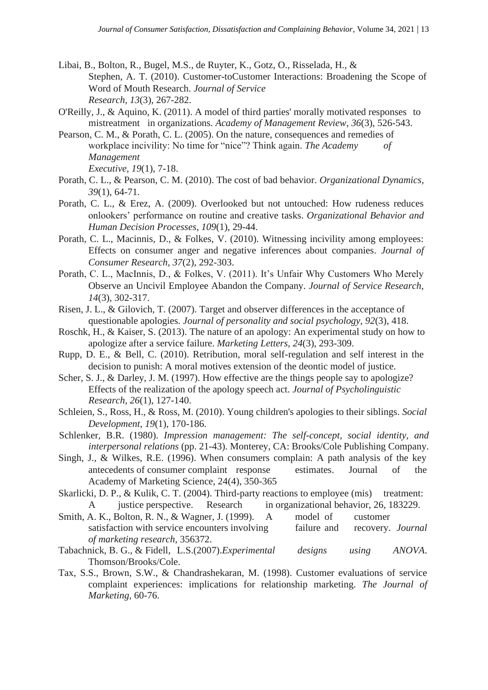- Libai, B., Bolton, R., Bugel, M.S., de Ruyter, K., Gotz, O., Risselada, H., & Stephen, A. T. (2010). Customer-toCustomer Interactions: Broadening the Scope of Word of Mouth Research. *Journal of Service Research, 13*(3), 267-282.
- O'Reilly, J., & Aquino, K. (2011). A model of third parties' morally motivated responses to mistreatment in organizations. *Academy of Management Review*, *36*(3), 526-543.
- Pearson, C. M., & Porath, C. L. (2005). On the nature, consequences and remedies of workplace incivility: No time for "nice"? Think again. *The Academy of Management Executive*, *19*(1), 7-18.
- Porath, C. L., & Pearson, C. M. (2010). The cost of bad behavior. *Organizational Dynamics*, *39*(1), 64-71.
- Porath, C. L., & Erez, A. (2009). Overlooked but not untouched: How rudeness reduces onlookers' performance on routine and creative tasks. *Organizational Behavior and Human Decision Processes*, *109*(1), 29-44.
- Porath, C. L., Macinnis, D., & Folkes, V. (2010). Witnessing incivility among employees: Effects on consumer anger and negative inferences about companies. *Journal of Consumer Research*, *37*(2), 292-303.
- Porath, C. L., MacInnis, D., & Folkes, V. (2011). It's Unfair Why Customers Who Merely Observe an Uncivil Employee Abandon the Company. *Journal of Service Research*, *14*(3), 302-317.
- Risen, J. L., & Gilovich, T. (2007). Target and observer differences in the acceptance of questionable apologies. *Journal of personality and social psychology*, *92*(3), 418.
- Roschk, H., & Kaiser, S. (2013). The nature of an apology: An experimental study on how to apologize after a service failure. *Marketing Letters*, *24*(3), 293-309.
- Rupp, D. E., & Bell, C. (2010). Retribution, moral self-regulation and self interest in the decision to punish: A moral motives extension of the deontic model of justice.
- Scher, S. J., & Darley, J. M. (1997). How effective are the things people say to apologize? Effects of the realization of the apology speech act. *Journal of Psycholinguistic Research*, *26*(1), 127-140.
- Schleien, S., Ross, H., & Ross, M. (2010). Young children's apologies to their siblings. *Social Development*, *19*(1), 170-186.
- Schlenker, B.R. (1980). *Impression management: The self-concept, social identity, and interpersonal relations* (pp. 21-43). Monterey, CA: Brooks/Cole Publishing Company.
- Singh, J., & Wilkes, R.E. (1996). When consumers complain: A path analysis of the key antecedents of consumer complaint response estimates. Journal of the Academy of Marketing Science, 24(4), 350-365
- Skarlicki, D. P., & Kulik, C. T. (2004). Third-party reactions to employee (mis) treatment: A justice perspective. Research in organizational behavior, 26, 183229.
- Smith, A. K., Bolton, R. N., & Wagner, J. (1999). A model of customer satisfaction with service encounters involving failure and recovery. *Journal of marketing research*, 356372.
- Tabachnick, B. G., & Fidell, L.S.(2007).*Experimental designs using ANOVA*. Thomson/Brooks/Cole.
- Tax, S.S., Brown, S.W., & Chandrashekaran, M. (1998). Customer evaluations of service complaint experiences: implications for relationship marketing. *The Journal of Marketing*, 60-76.